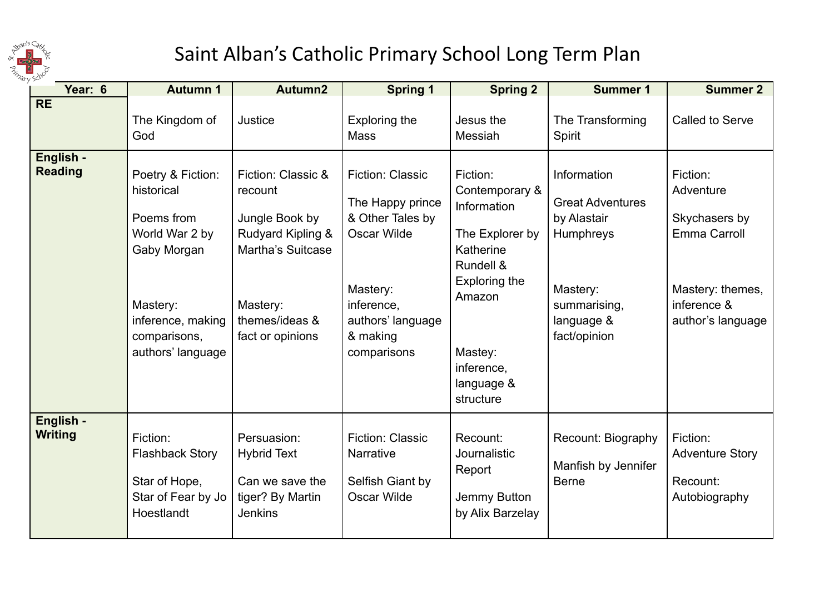

## Saint Alban's Catholic Primary School Long Term Plan

| Year: 6                     | <b>Autumn 1</b>                                                                                                                                      | Autumn2                                                                                                                                            | <b>Spring 1</b>                                                                                                                                          | <b>Spring 2</b>                                                                                                                                                       | <b>Summer 1</b>                                                                                                              | <b>Summer 2</b>                                                                                                |
|-----------------------------|------------------------------------------------------------------------------------------------------------------------------------------------------|----------------------------------------------------------------------------------------------------------------------------------------------------|----------------------------------------------------------------------------------------------------------------------------------------------------------|-----------------------------------------------------------------------------------------------------------------------------------------------------------------------|------------------------------------------------------------------------------------------------------------------------------|----------------------------------------------------------------------------------------------------------------|
| <b>RE</b>                   | The Kingdom of<br>God                                                                                                                                | Justice                                                                                                                                            | Exploring the<br>Mass                                                                                                                                    | Jesus the<br>Messiah                                                                                                                                                  | The Transforming<br>Spirit                                                                                                   | Called to Serve                                                                                                |
| English -<br><b>Reading</b> | Poetry & Fiction:<br>historical<br>Poems from<br>World War 2 by<br>Gaby Morgan<br>Mastery:<br>inference, making<br>comparisons,<br>authors' language | Fiction: Classic &<br>recount<br>Jungle Book by<br>Rudyard Kipling &<br><b>Martha's Suitcase</b><br>Mastery:<br>themes/ideas &<br>fact or opinions | <b>Fiction: Classic</b><br>The Happy prince<br>& Other Tales by<br>Oscar Wilde<br>Mastery:<br>inference,<br>authors' language<br>& making<br>comparisons | Fiction:<br>Contemporary &<br>Information<br>The Explorer by<br>Katherine<br>Rundell &<br>Exploring the<br>Amazon<br>Mastey:<br>inference,<br>language &<br>structure | Information<br><b>Great Adventures</b><br>by Alastair<br>Humphreys<br>Mastery:<br>summarising,<br>language &<br>fact/opinion | Fiction:<br>Adventure<br>Skychasers by<br>Emma Carroll<br>Mastery: themes,<br>inference &<br>author's language |
| English -<br><b>Writing</b> | Fiction:<br><b>Flashback Story</b><br>Star of Hope,<br>Star of Fear by Jo<br>Hoestlandt                                                              | Persuasion:<br><b>Hybrid Text</b><br>Can we save the<br>tiger? By Martin<br><b>Jenkins</b>                                                         | <b>Fiction: Classic</b><br><b>Narrative</b><br>Selfish Giant by<br><b>Oscar Wilde</b>                                                                    | Recount:<br>Journalistic<br>Report<br>Jemmy Button<br>by Alix Barzelay                                                                                                | Recount: Biography<br>Manfish by Jennifer<br><b>Berne</b>                                                                    | Fiction:<br><b>Adventure Story</b><br>Recount:<br>Autobiography                                                |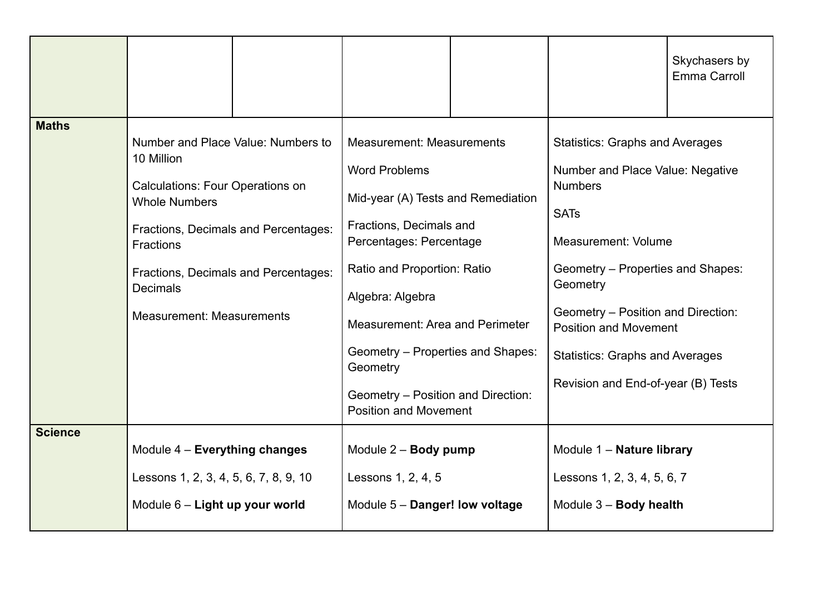|                |                                                                                                                                                                                                                                                                                |                                                                                                                                                                                                                                                                                                                                                                          |                                                                                                                                                                                                                                                                                                                                                  | Skychasers by<br>Emma Carroll |
|----------------|--------------------------------------------------------------------------------------------------------------------------------------------------------------------------------------------------------------------------------------------------------------------------------|--------------------------------------------------------------------------------------------------------------------------------------------------------------------------------------------------------------------------------------------------------------------------------------------------------------------------------------------------------------------------|--------------------------------------------------------------------------------------------------------------------------------------------------------------------------------------------------------------------------------------------------------------------------------------------------------------------------------------------------|-------------------------------|
| <b>Maths</b>   | Number and Place Value: Numbers to<br>10 Million<br><b>Calculations: Four Operations on</b><br><b>Whole Numbers</b><br>Fractions, Decimals and Percentages:<br><b>Fractions</b><br>Fractions, Decimals and Percentages:<br><b>Decimals</b><br><b>Measurement: Measurements</b> | <b>Measurement: Measurements</b><br><b>Word Problems</b><br>Mid-year (A) Tests and Remediation<br>Fractions, Decimals and<br>Percentages: Percentage<br>Ratio and Proportion: Ratio<br>Algebra: Algebra<br><b>Measurement: Area and Perimeter</b><br>Geometry - Properties and Shapes:<br>Geometry<br>Geometry - Position and Direction:<br><b>Position and Movement</b> | <b>Statistics: Graphs and Averages</b><br>Number and Place Value: Negative<br><b>Numbers</b><br><b>SATs</b><br><b>Measurement: Volume</b><br>Geometry – Properties and Shapes:<br>Geometry<br>Geometry - Position and Direction:<br><b>Position and Movement</b><br><b>Statistics: Graphs and Averages</b><br>Revision and End-of-year (B) Tests |                               |
| <b>Science</b> | Module 4 - Everything changes<br>Lessons 1, 2, 3, 4, 5, 6, 7, 8, 9, 10<br>Module $6$ – Light up your world                                                                                                                                                                     | Module 2 - Body pump<br>Lessons 1, 2, 4, 5<br>Module 5 - Danger! low voltage                                                                                                                                                                                                                                                                                             | Module 1 - Nature library<br>Lessons 1, 2, 3, 4, 5, 6, 7<br>Module 3 - Body health                                                                                                                                                                                                                                                               |                               |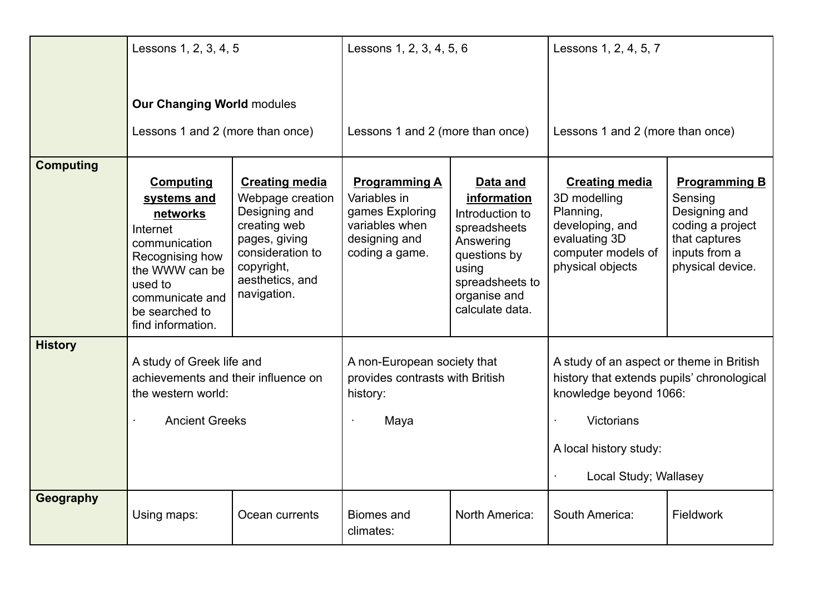|                  | Lessons 1, 2, 3, 4, 5                                                                                                                                                       |                                                                                                                                                                 | Lessons 1, 2, 3, 4, 5, 6                                                                                     |                                                                                                                                                        | Lessons 1, 2, 4, 5, 7                                                                                                                                                             |                                                                                                                            |
|------------------|-----------------------------------------------------------------------------------------------------------------------------------------------------------------------------|-----------------------------------------------------------------------------------------------------------------------------------------------------------------|--------------------------------------------------------------------------------------------------------------|--------------------------------------------------------------------------------------------------------------------------------------------------------|-----------------------------------------------------------------------------------------------------------------------------------------------------------------------------------|----------------------------------------------------------------------------------------------------------------------------|
|                  |                                                                                                                                                                             |                                                                                                                                                                 |                                                                                                              |                                                                                                                                                        |                                                                                                                                                                                   |                                                                                                                            |
|                  | <b>Our Changing World modules</b>                                                                                                                                           |                                                                                                                                                                 |                                                                                                              |                                                                                                                                                        |                                                                                                                                                                                   |                                                                                                                            |
|                  | Lessons 1 and 2 (more than once)                                                                                                                                            |                                                                                                                                                                 | Lessons 1 and 2 (more than once)                                                                             |                                                                                                                                                        | Lessons 1 and 2 (more than once)                                                                                                                                                  |                                                                                                                            |
| <b>Computing</b> | Computing<br>systems and<br>networks<br>Internet<br>communication<br>Recognising how<br>the WWW can be<br>used to<br>communicate and<br>be searched to<br>find information. | <b>Creating media</b><br>Webpage creation<br>Designing and<br>creating web<br>pages, giving<br>consideration to<br>copyright,<br>aesthetics, and<br>navigation. | <b>Programming A</b><br>Variables in<br>games Exploring<br>variables when<br>designing and<br>coding a game. | Data and<br>information<br>Introduction to<br>spreadsheets<br>Answering<br>questions by<br>using<br>spreadsheets to<br>organise and<br>calculate data. | <b>Creating media</b><br>3D modelling<br>Planning,<br>developing, and<br>evaluating 3D<br>computer models of<br>physical objects                                                  | <b>Programming B</b><br>Sensing<br>Designing and<br>coding a project<br>that captures<br>inputs from a<br>physical device. |
| <b>History</b>   | A study of Greek life and<br>achievements and their influence on<br>the western world:<br><b>Ancient Greeks</b><br>$\blacksquare$                                           |                                                                                                                                                                 | A non-European society that<br>provides contrasts with British<br>history:<br>Maya                           |                                                                                                                                                        | A study of an aspect or theme in British<br>history that extends pupils' chronological<br>knowledge beyond 1066:<br>Victorians<br>A local history study:<br>Local Study; Wallasey |                                                                                                                            |
| Geography        | Using maps:                                                                                                                                                                 | Ocean currents                                                                                                                                                  | <b>Biomes and</b><br>climates:                                                                               | North America:                                                                                                                                         | South America:                                                                                                                                                                    | Fieldwork                                                                                                                  |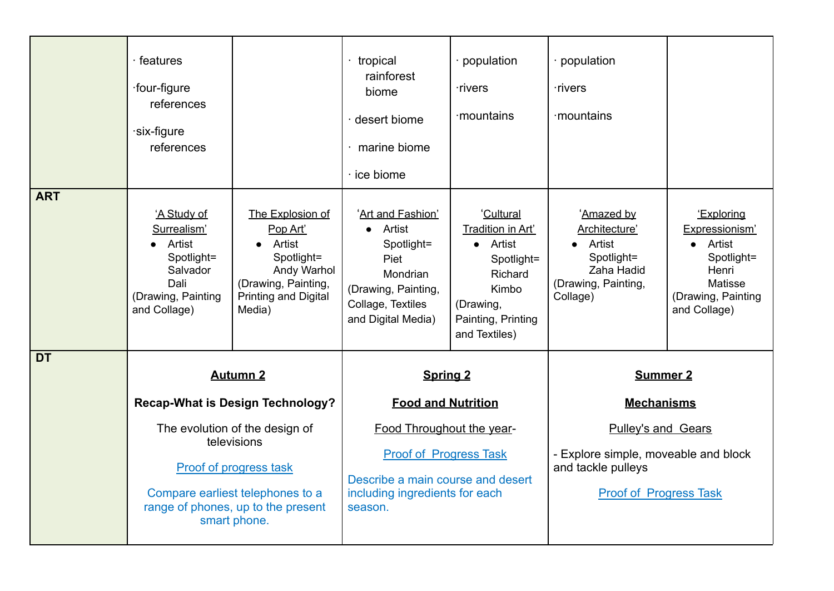|            | · features<br>four-figure<br>references<br>·six-figure<br>references                                                                                                                                                            |                                                                                                                                       | tropical<br>rainforest<br>biome<br>desert biome<br>marine biome<br>ce biome                                                                                                                  | population<br>·rivers<br>mountains                                                                                               | population<br>·rivers<br>mountains                                                                                                                               |                                                                                                                               |
|------------|---------------------------------------------------------------------------------------------------------------------------------------------------------------------------------------------------------------------------------|---------------------------------------------------------------------------------------------------------------------------------------|----------------------------------------------------------------------------------------------------------------------------------------------------------------------------------------------|----------------------------------------------------------------------------------------------------------------------------------|------------------------------------------------------------------------------------------------------------------------------------------------------------------|-------------------------------------------------------------------------------------------------------------------------------|
| <b>ART</b> | 'A Study of<br>Surrealism'<br>Artist<br>Spotlight=<br>Salvador<br>Dali<br>(Drawing, Painting<br>and Collage)                                                                                                                    | The Explosion of<br>Pop Art'<br>• Artist<br>Spotlight=<br>Andy Warhol<br>(Drawing, Painting,<br><b>Printing and Digital</b><br>Media) | 'Art and Fashion'<br>Artist<br>$\bullet$<br>Spotlight=<br>Piet<br>Mondrian<br>(Drawing, Painting,<br>Collage, Textiles<br>and Digital Media)                                                 | 'Cultural<br>Tradition in Art'<br>• Artist<br>Spotlight=<br>Richard<br>Kimbo<br>(Drawing,<br>Painting, Printing<br>and Textiles) | 'Amazed by<br>Architecture'<br>• Artist<br>Spotlight=<br>Zaha Hadid<br>(Drawing, Painting,<br>Collage)                                                           | <b>Exploring</b><br>Expressionism'<br>• Artist<br>Spotlight=<br>Henri<br><b>Matisse</b><br>(Drawing, Painting<br>and Collage) |
| <b>DT</b>  | <b>Autumn 2</b><br><b>Recap-What is Design Technology?</b><br>The evolution of the design of<br>televisions<br>Proof of progress task<br>Compare earliest telephones to a<br>range of phones, up to the present<br>smart phone. |                                                                                                                                       | <b>Spring 2</b><br><b>Food and Nutrition</b><br>Food Throughout the year-<br><b>Proof of Progress Task</b><br>Describe a main course and desert<br>including ingredients for each<br>season. |                                                                                                                                  | <b>Summer 2</b><br><b>Mechanisms</b><br><b>Pulley's and Gears</b><br>- Explore simple, moveable and block<br>and tackle pulleys<br><b>Proof of Progress Task</b> |                                                                                                                               |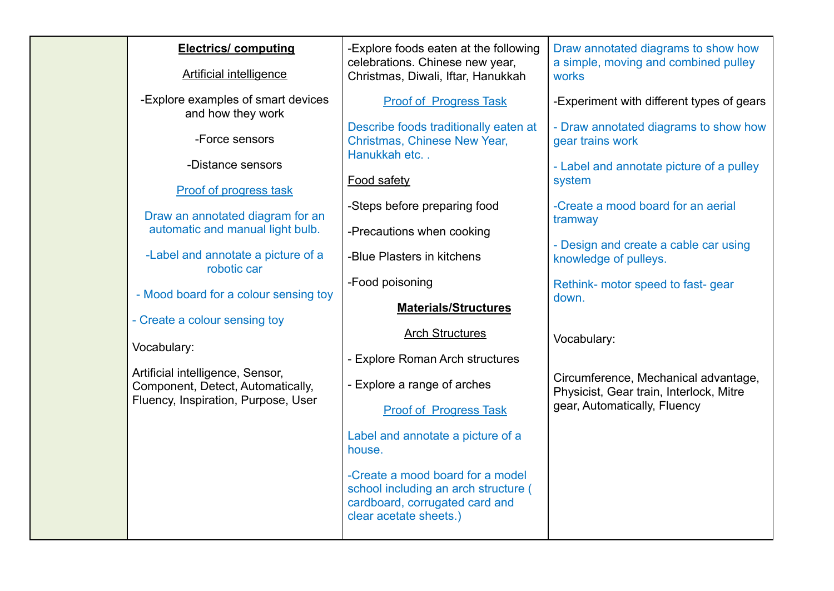|  | <b>Electrics/ computing</b><br><b>Artificial intelligence</b>          | -Explore foods eaten at the following<br>celebrations. Chinese new year,<br>Christmas, Diwali, Iftar, Hanukkah                       | Draw annotated diagrams to show how<br>a simple, moving and combined pulley<br><b>works</b> |  |
|--|------------------------------------------------------------------------|--------------------------------------------------------------------------------------------------------------------------------------|---------------------------------------------------------------------------------------------|--|
|  | -Explore examples of smart devices<br>and how they work                | <b>Proof of Progress Task</b>                                                                                                        | -Experiment with different types of gears                                                   |  |
|  | -Force sensors                                                         | Describe foods traditionally eaten at<br>Christmas, Chinese New Year,                                                                | - Draw annotated diagrams to show how<br>gear trains work                                   |  |
|  | -Distance sensors                                                      | Hanukkah etc                                                                                                                         | - Label and annotate picture of a pulley                                                    |  |
|  | Proof of progress task                                                 | Food safety                                                                                                                          | system                                                                                      |  |
|  | Draw an annotated diagram for an<br>automatic and manual light bulb.   | -Steps before preparing food                                                                                                         | -Create a mood board for an aerial<br>tramway                                               |  |
|  | -Label and annotate a picture of a<br>robotic car                      | -Precautions when cooking<br>-Blue Plasters in kitchens                                                                              | - Design and create a cable car using<br>knowledge of pulleys.                              |  |
|  | - Mood board for a colour sensing toy<br>- Create a colour sensing toy | -Food poisoning                                                                                                                      | Rethink- motor speed to fast-gear<br>down.                                                  |  |
|  |                                                                        | <b>Materials/Structures</b>                                                                                                          |                                                                                             |  |
|  | Vocabulary:                                                            | <b>Arch Structures</b>                                                                                                               | Vocabulary:                                                                                 |  |
|  | Artificial intelligence, Sensor,<br>Component, Detect, Automatically,  | - Explore Roman Arch structures                                                                                                      |                                                                                             |  |
|  |                                                                        | - Explore a range of arches                                                                                                          | Circumference, Mechanical advantage,<br>Physicist, Gear train, Interlock, Mitre             |  |
|  | Fluency, Inspiration, Purpose, User                                    | <b>Proof of Progress Task</b>                                                                                                        | gear, Automatically, Fluency                                                                |  |
|  |                                                                        | Label and annotate a picture of a<br>house.                                                                                          |                                                                                             |  |
|  |                                                                        | -Create a mood board for a model<br>school including an arch structure (<br>cardboard, corrugated card and<br>clear acetate sheets.) |                                                                                             |  |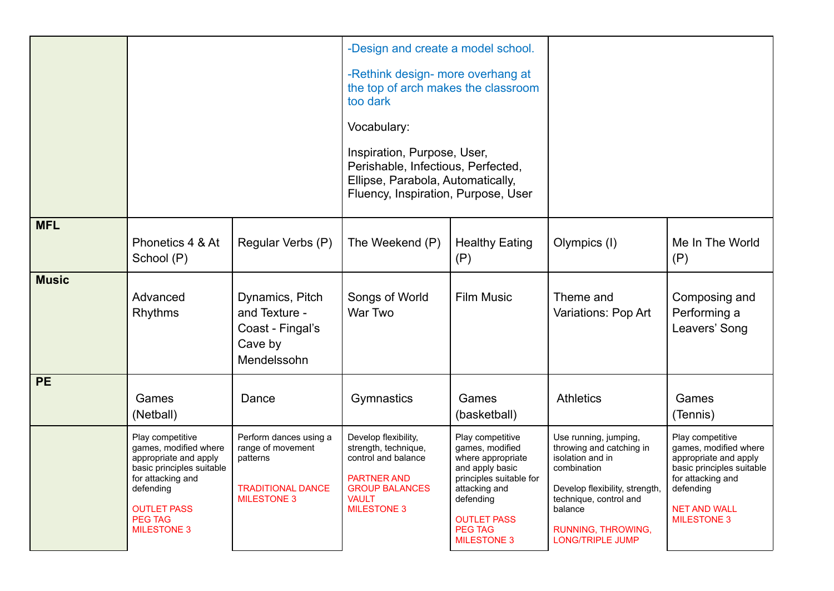|              |                                                                                                                                                                                                 |                                                                                                           | -Design and create a model school.<br>-Rethink design- more overhang at<br>the top of arch makes the classroom<br>too dark<br>Vocabulary:<br>Inspiration, Purpose, User,<br>Perishable, Infectious, Perfected,<br>Ellipse, Parabola, Automatically,<br>Fluency, Inspiration, Purpose, User |                                                                                                                                                                                                    |                                                                                                                                                                                                              |                                                                                                                                                                                |
|--------------|-------------------------------------------------------------------------------------------------------------------------------------------------------------------------------------------------|-----------------------------------------------------------------------------------------------------------|--------------------------------------------------------------------------------------------------------------------------------------------------------------------------------------------------------------------------------------------------------------------------------------------|----------------------------------------------------------------------------------------------------------------------------------------------------------------------------------------------------|--------------------------------------------------------------------------------------------------------------------------------------------------------------------------------------------------------------|--------------------------------------------------------------------------------------------------------------------------------------------------------------------------------|
| <b>MFL</b>   | Phonetics 4 & At<br>School (P)                                                                                                                                                                  | Regular Verbs (P)                                                                                         | The Weekend (P)                                                                                                                                                                                                                                                                            | <b>Healthy Eating</b><br>(P)                                                                                                                                                                       | Olympics (I)                                                                                                                                                                                                 | Me In The World<br>(P)                                                                                                                                                         |
| <b>Music</b> | Advanced<br>Rhythms                                                                                                                                                                             | Dynamics, Pitch<br>and Texture -<br>Coast - Fingal's<br>Cave by<br>Mendelssohn                            | Songs of World<br>War Two                                                                                                                                                                                                                                                                  | <b>Film Music</b>                                                                                                                                                                                  | Theme and<br>Variations: Pop Art                                                                                                                                                                             | Composing and<br>Performing a<br>Leavers' Song                                                                                                                                 |
| <b>PE</b>    | Games<br>(Netball)                                                                                                                                                                              | Dance                                                                                                     | Gymnastics                                                                                                                                                                                                                                                                                 | Games<br>(basketball)                                                                                                                                                                              | <b>Athletics</b>                                                                                                                                                                                             | Games<br>(Tennis)                                                                                                                                                              |
|              | Play competitive<br>games, modified where<br>appropriate and apply<br>basic principles suitable<br>for attacking and<br>defending<br><b>OUTLET PASS</b><br><b>PEG TAG</b><br><b>MILESTONE 3</b> | Perform dances using a<br>range of movement<br>patterns<br><b>TRADITIONAL DANCE</b><br><b>MILESTONE 3</b> | Develop flexibility,<br>strength, technique,<br>control and balance<br><b>PARTNER AND</b><br><b>GROUP BALANCES</b><br><b>VAULT</b><br><b>MILESTONE 3</b>                                                                                                                                   | Play competitive<br>games, modified<br>where appropriate<br>and apply basic<br>principles suitable for<br>attacking and<br>defending<br><b>OUTLET PASS</b><br><b>PEG TAG</b><br><b>MILESTONE 3</b> | Use running, jumping,<br>throwing and catching in<br>isolation and in<br>combination<br>Develop flexibility, strength,<br>technique, control and<br>balance<br>RUNNING, THROWING,<br><b>LONG/TRIPLE JUMP</b> | Play competitive<br>games, modified where<br>appropriate and apply<br>basic principles suitable<br>for attacking and<br>defending<br><b>NET AND WALL</b><br><b>MILESTONE 3</b> |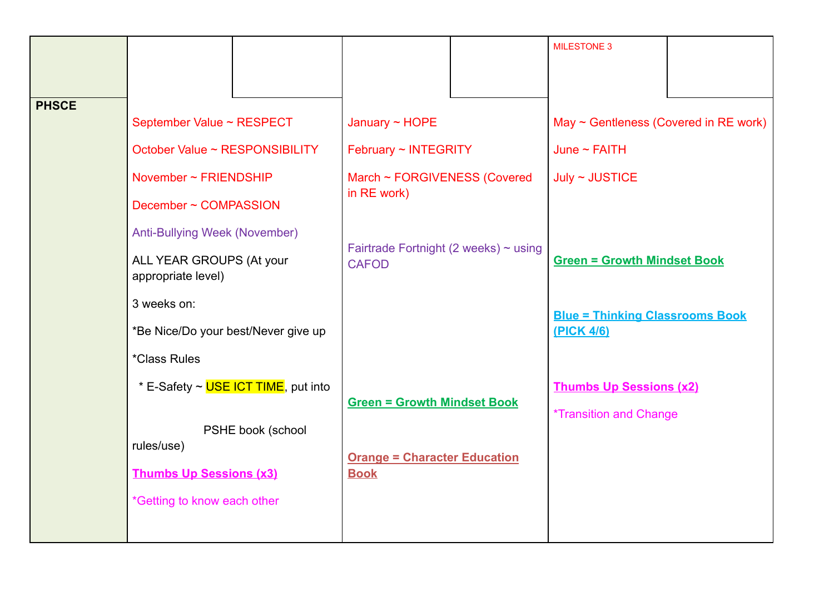|              |                                                                                                       |                   |                                                    |  | <b>MILESTONE 3</b>                         |  |
|--------------|-------------------------------------------------------------------------------------------------------|-------------------|----------------------------------------------------|--|--------------------------------------------|--|
|              |                                                                                                       |                   |                                                    |  |                                            |  |
| <b>PHSCE</b> | September Value ~ RESPECT                                                                             |                   | January ~ HOPE                                     |  | May $\sim$ Gentleness (Covered in RE work) |  |
|              | October Value ~ RESPONSIBILITY                                                                        |                   | February ~ INTEGRITY                               |  | June $\sim$ FAITH                          |  |
|              | November ~ FRIENDSHIP                                                                                 |                   | March ~ FORGIVENESS (Covered                       |  | July ~ <i>JUSTICE</i>                      |  |
|              | December ~ COMPASSION                                                                                 |                   | in RE work)                                        |  |                                            |  |
|              | <b>Anti-Bullying Week (November)</b><br>ALL YEAR GROUPS (At your<br>appropriate level)<br>3 weeks on: |                   | Fairtrade Fortnight (2 weeks) $\sim$ using         |  |                                            |  |
|              |                                                                                                       |                   | <b>CAFOD</b>                                       |  | <b>Green = Growth Mindset Book</b>         |  |
|              |                                                                                                       |                   |                                                    |  | <b>Blue = Thinking Classrooms Book</b>     |  |
|              | *Be Nice/Do your best/Never give up                                                                   |                   |                                                    |  | <b>(PICK 4/6)</b>                          |  |
|              | <i><b>*Class Rules</b></i>                                                                            |                   |                                                    |  |                                            |  |
|              | * E-Safety ~ USE ICT TIME, put into                                                                   |                   | <b>Green = Growth Mindset Book</b>                 |  | <b>Thumbs Up Sessions (x2)</b>             |  |
|              | rules/use)<br><b>Thumbs Up Sessions (x3)</b><br>*Getting to know each other                           | PSHE book (school | <b>Orange = Character Education</b><br><b>Book</b> |  | <i><b>*Transition and Change</b></i>       |  |